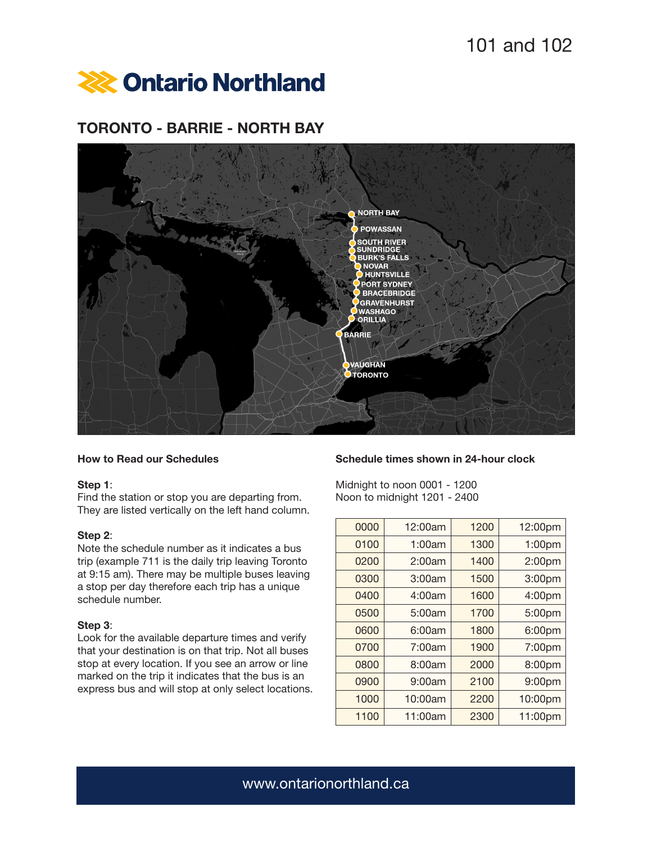

# TORONTO - BARRIE - NORTH BAY



## How to Read our Schedules

### Step 1:

Find the station or stop you are departing from. They are listed vertically on the left hand column.

### Step 2:

Note the schedule number as it indicates a bus trip (example 711 is the daily trip leaving Toronto at 9:15 am). There may be multiple buses leaving a stop per day therefore each trip has a unique schedule number.

### Step 3:

Look for the available departure times and verify that your destination is on that trip. Not all buses stop at every location. If you see an arrow or line marked on the trip it indicates that the bus is an express bus and will stop at only select locations.

## Schedule times shown in 24-hour clock

Midnight to noon 0001 - 1200 Noon to midnight 1201 - 2400

| 0000 | 12:00am | 1200 | 12:00pm |
|------|---------|------|---------|
| 0100 | 1:00am  | 1300 | 1:00pm  |
| 0200 | 2:00am  | 1400 | 2:00pm  |
| 0300 | 3:00am  | 1500 | 3:00pm  |
| 0400 | 4:00am  | 1600 | 4:00pm  |
| 0500 | 5:00am  | 1700 | 5:00pm  |
| 0600 | 6:00am  | 1800 | 6:00pm  |
| 0700 | 7:00am  | 1900 | 7:00pm  |
| 0800 | 8:00am  | 2000 | 8:00pm  |
| 0900 | 9:00am  | 2100 | 9:00pm  |
| 1000 | 10:00am | 2200 | 10:00pm |
| 1100 | 11:00am | 2300 | 11:00pm |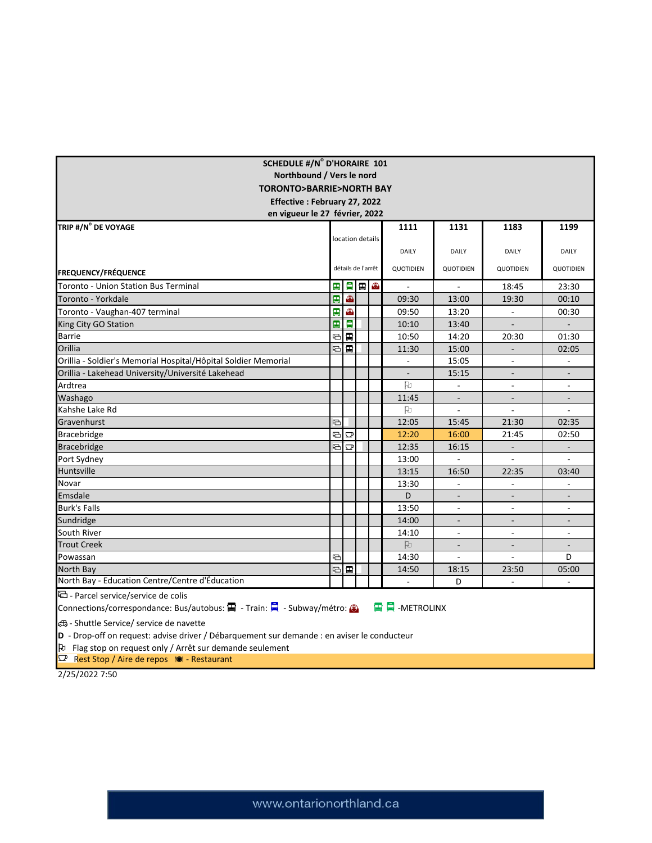| <b>SCHEDULE #/N° D'HORAIRE 101</b>                                                                                              |    |                         |                    |                  |                          |                          |                          |                          |  |  |
|---------------------------------------------------------------------------------------------------------------------------------|----|-------------------------|--------------------|------------------|--------------------------|--------------------------|--------------------------|--------------------------|--|--|
| Northbound / Vers le nord                                                                                                       |    |                         |                    |                  |                          |                          |                          |                          |  |  |
| <b>TORONTO&gt;BARRIE&gt;NORTH BAY</b>                                                                                           |    |                         |                    |                  |                          |                          |                          |                          |  |  |
| Effective: February 27, 2022                                                                                                    |    |                         |                    |                  |                          |                          |                          |                          |  |  |
| en vigueur le 27 février, 2022                                                                                                  |    |                         |                    |                  |                          |                          |                          |                          |  |  |
| TRIP #/N° DE VOYAGE                                                                                                             |    |                         |                    |                  | 1111                     | 1131                     | 1183                     | 1199                     |  |  |
|                                                                                                                                 |    |                         |                    | location details |                          |                          |                          |                          |  |  |
|                                                                                                                                 |    |                         |                    |                  | DAILY                    | <b>DAILY</b>             | <b>DAILY</b>             | DAILY                    |  |  |
|                                                                                                                                 |    |                         | détails de l'arrêt |                  | QUOTIDIEN                | QUOTIDIEN                | QUOTIDIEN                | <b>QUOTIDIEN</b>         |  |  |
| <b>FREQUENCY/FRÉQUENCE</b>                                                                                                      |    |                         |                    |                  |                          |                          |                          |                          |  |  |
| <b>Toronto - Union Station Bus Terminal</b>                                                                                     | Ŧ  |                         |                    | 日日日              | $\overline{a}$           | $\mathcal{L}$            | 18:45                    | 23:30                    |  |  |
| Toronto - Yorkdale                                                                                                              | 雷  | O                       |                    |                  | 09:30                    | 13:00                    | 19:30                    | 00:10                    |  |  |
| Toronto - Vaughan-407 terminal                                                                                                  | Ŧ  | $\bigcirc$              |                    |                  | 09:50                    | 13:20                    |                          | 00:30                    |  |  |
| King City GO Station                                                                                                            | B) | 貝                       |                    |                  | 10:10                    | 13:40                    | $\frac{1}{2}$            | $\overline{a}$           |  |  |
| <b>Barrie</b>                                                                                                                   | ⊟  | $\blacksquare$          |                    |                  | 10:50                    | 14:20                    | 20:30                    | 01:30                    |  |  |
| Orillia                                                                                                                         | a  | $\blacksquare$          |                    |                  | 11:30                    | 15:00                    | $\overline{a}$           | 02:05                    |  |  |
| Orillia - Soldier's Memorial Hospital/Hôpital Soldier Memorial                                                                  |    |                         |                    |                  |                          | 15:05                    |                          |                          |  |  |
| Orillia - Lakehead University/Université Lakehead                                                                               |    |                         |                    |                  | $\overline{\phantom{a}}$ | 15:15                    | $\blacksquare$           |                          |  |  |
| Ardtrea                                                                                                                         |    |                         |                    |                  | Þ                        | $\blacksquare$           | $\overline{\phantom{a}}$ | $\blacksquare$           |  |  |
| Washago                                                                                                                         |    |                         |                    |                  | 11:45                    |                          |                          |                          |  |  |
| Kahshe Lake Rd                                                                                                                  |    |                         |                    |                  | Þ                        |                          |                          | $\sim$                   |  |  |
| Gravenhurst                                                                                                                     | ⊟  |                         |                    |                  | 12:05                    | 15:45                    | 21:30                    | 02:35                    |  |  |
| Bracebridge                                                                                                                     | a  | $\overline{\mathbf{C}}$ |                    |                  | 12:20                    | 16:00                    | 21:45                    | 02:50                    |  |  |
| <b>Bracebridge</b>                                                                                                              |    | 石<br>$\Box$             |                    |                  | 12:35                    | 16:15                    |                          |                          |  |  |
| Port Sydney                                                                                                                     |    |                         |                    |                  | 13:00                    | $\sim$                   | $\sim$                   | $\sim$                   |  |  |
| Huntsville                                                                                                                      |    |                         |                    |                  | 13:15                    | 16:50                    | 22:35                    | 03:40                    |  |  |
| Novar                                                                                                                           |    |                         |                    |                  | 13:30                    | $\overline{\phantom{a}}$ | $\frac{1}{2}$            | $\sim$                   |  |  |
| Emsdale                                                                                                                         |    |                         |                    |                  | D                        | $\overline{\phantom{a}}$ | $\overline{\phantom{a}}$ | $\overline{\phantom{a}}$ |  |  |
| <b>Burk's Falls</b>                                                                                                             |    |                         |                    |                  | 13:50                    |                          | ÷                        | ÷                        |  |  |
| Sundridge                                                                                                                       |    |                         |                    |                  | 14:00                    |                          |                          |                          |  |  |
| South River                                                                                                                     |    |                         |                    |                  | 14:10                    | $\overline{\phantom{a}}$ | $\overline{\phantom{a}}$ | $\blacksquare$           |  |  |
| <b>Trout Creek</b>                                                                                                              |    |                         |                    |                  | Þ                        | $\overline{a}$           | $\overline{a}$           | $\overline{a}$           |  |  |
| Powassan                                                                                                                        | ⊟  |                         |                    |                  | 14:30                    | $\overline{a}$           | $\overline{\phantom{a}}$ | D                        |  |  |
| North Bay                                                                                                                       |    | 티콜                      |                    |                  | 14:50                    | 18:15                    | 23:50                    | 05:00                    |  |  |
| North Bay - Education Centre/Centre d'Éducation                                                                                 |    |                         |                    |                  | $\mathbf{r}$             | D                        | $\bar{\mathcal{L}}$      | $\mathbf{r}$             |  |  |
| 로 - Parcel service/service de colis                                                                                             |    |                         |                    |                  |                          |                          |                          |                          |  |  |
| <b>雪員</b> -METROLINX<br>Connections/correspondance: Bus/autobus: $\blacksquare$ - Train: $\blacksquare$ - Subway/métro: $\odot$ |    |                         |                    |                  |                          |                          |                          |                          |  |  |
| යි - Shuttle Service/ service de navette                                                                                        |    |                         |                    |                  |                          |                          |                          |                          |  |  |
| D - Drop-off on request: advise driver / Débarquement sur demande : en aviser le conducteur                                     |    |                         |                    |                  |                          |                          |                          |                          |  |  |
| <b>D</b> Flag stop on request only / Arrêt sur demande seulement                                                                |    |                         |                    |                  |                          |                          |                          |                          |  |  |
| $\Box$ Rest Stop / Aire de repos $\Box$ - Restaurant                                                                            |    |                         |                    |                  |                          |                          |                          |                          |  |  |
| 2(25/202275)                                                                                                                    |    |                         |                    |                  |                          |                          |                          |                          |  |  |

2/25/2022 7:50